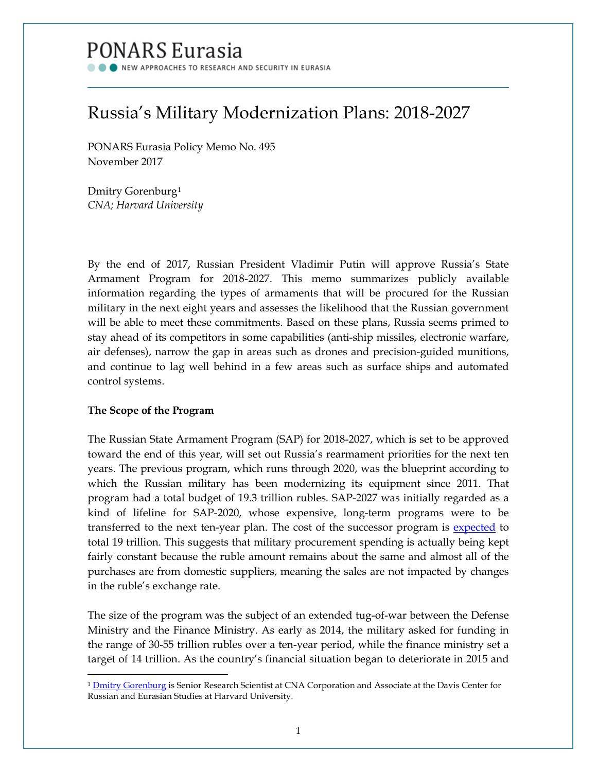# PONARS Eurasia

NEW APPROACHES TO RESEARCH AND SECURITY IN EURASIA

## Russia's Military Modernization Plans: 2018-2027

PONARS Eurasia Policy Memo No. 495 November 2017

Dmitry Gorenburg[1](#page-0-0) *CNA; Harvard University*

By the end of 2017, Russian President Vladimir Putin will approve Russia's State Armament Program for 2018-2027. This memo summarizes publicly available information regarding the types of armaments that will be procured for the Russian military in the next eight years and assesses the likelihood that the Russian government will be able to meet these commitments. Based on these plans, Russia seems primed to stay ahead of its competitors in some capabilities (anti-ship missiles, electronic warfare, air defenses), narrow the gap in areas such as drones and precision-guided munitions, and continue to lag well behind in a few areas such as surface ships and automated control systems.

### **The Scope of the Program**

l

The Russian State Armament Program (SAP) for 2018-2027, which is set to be approved toward the end of this year, will set out Russia's rearmament priorities for the next ten years. The previous program, which runs through 2020, was the blueprint according to which the Russian military has been modernizing its equipment since 2011. That program had a total budget of 19.3 trillion rubles. SAP-2027 was initially regarded as a kind of lifeline for SAP-2020, whose expensive, long-term programs were to be transferred to the next ten-year plan. The cost of the successor program is [expected](https://www.kommersant.ru/doc/3467573) to total 19 trillion. This suggests that military procurement spending is actually being kept fairly constant because the ruble amount remains about the same and almost all of the purchases are from domestic suppliers, meaning the sales are not impacted by changes in the ruble's exchange rate.

The size of the program was the subject of an extended tug-of-war between the Defense Ministry and the Finance Ministry. As early as 2014, the military asked for funding in the range of 30-55 trillion rubles over a ten-year period, while the finance ministry set a target of 14 trillion. As the country's financial situation began to deteriorate in 2015 and

<span id="page-0-0"></span><sup>&</sup>lt;sup>1</sup> [Dmitry Gorenburg](http://www.ponarseurasia.org/members/dmitry-gorenburg) is Senior Research Scientist at CNA Corporation and Associate at the Davis Center for Russian and Eurasian Studies at Harvard University.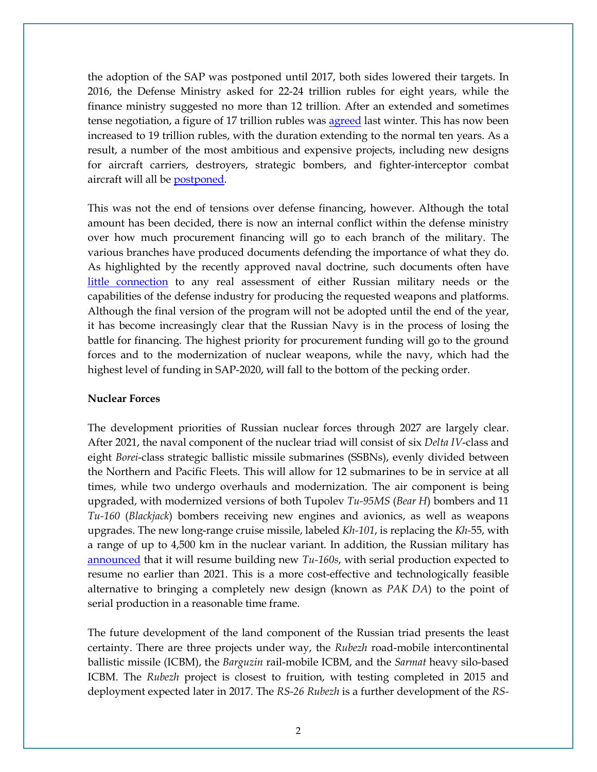the adoption of the SAP was postponed until 2017, both sides lowered their targets. In 2016, the Defense Ministry asked for 22-24 trillion rubles for eight years, while the finance ministry suggested no more than 12 trillion. After an extended and sometimes tense negotiation, a figure of 17 trillion rubles was [agreed](https://www.kommersant.ru/doc/3092628) last winter. This has now been increased to 19 trillion rubles, with the duration extending to the normal ten years. As a result, a number of the most ambitious and expensive projects, including new designs for aircraft carriers, destroyers, strategic bombers, and fighter-interceptor combat aircraft will all be [postponed.](https://www.vedomosti.ru/politics/articles/2017/05/17/690146-gosprogramma-vooruzhenii)

This was not the end of tensions over defense financing, however. Although the total amount has been decided, there is now an internal conflict within the defense ministry over how much procurement financing will go to each branch of the military. The various branches have produced documents defending the importance of what they do. As highlighted by the recently approved naval doctrine, such documents often have [little connection](https://warontherocks.com/2017/07/russias-new-and-unrealistic-naval-doctrine/) to any real assessment of either Russian military needs or the capabilities of the defense industry for producing the requested weapons and platforms. Although the final version of the program will not be adopted until the end of the year, it has become increasingly clear that the Russian Navy is in the process of losing the battle for financing. The highest priority for procurement funding will go to the ground forces and to the modernization of nuclear weapons, while the navy, which had the highest level of funding in SAP-2020, will fall to the bottom of the pecking order.

#### **Nuclear Forces**

The development priorities of Russian nuclear forces through 2027 are largely clear. After 2021, the naval component of the nuclear triad will consist of six *Delta IV*-class and eight *Borei*-class strategic ballistic missile submarines (SSBNs), evenly divided between the Northern and Pacific Fleets. This will allow for 12 submarines to be in service at all times, while two undergo overhauls and modernization. The air component is being upgraded, with modernized versions of both Tupolev *Tu-95MS* (*Bear H*) bombers and 11 *Tu-160* (*Blackjack*) bombers receiving new engines and avionics, as well as weapons upgrades. The new long-range cruise missile, labeled *Kh-101*, is replacing the *Kh-*55, with a range of up to 4,500 km in the nuclear variant. In addition, the Russian military has [announced](https://www.kommersant.ru/doc/3299987) that it will resume building new *Tu-160s*, with serial production expected to resume no earlier than 2021. This is a more cost-effective and technologically feasible alternative to bringing a completely new design (known as *PAK DA*) to the point of serial production in a reasonable time frame.

The future development of the land component of the Russian triad presents the least certainty. There are three projects under way, the *Rubezh* road-mobile intercontinental ballistic missile (ICBM), the *Barguzin* rail-mobile ICBM, and the *Sarmat* heavy silo-based ICBM. The *Rubezh* project is closest to fruition, with testing completed in 2015 and deployment expected later in 2017. The *RS-26 Rubezh* is a further development of the *RS-*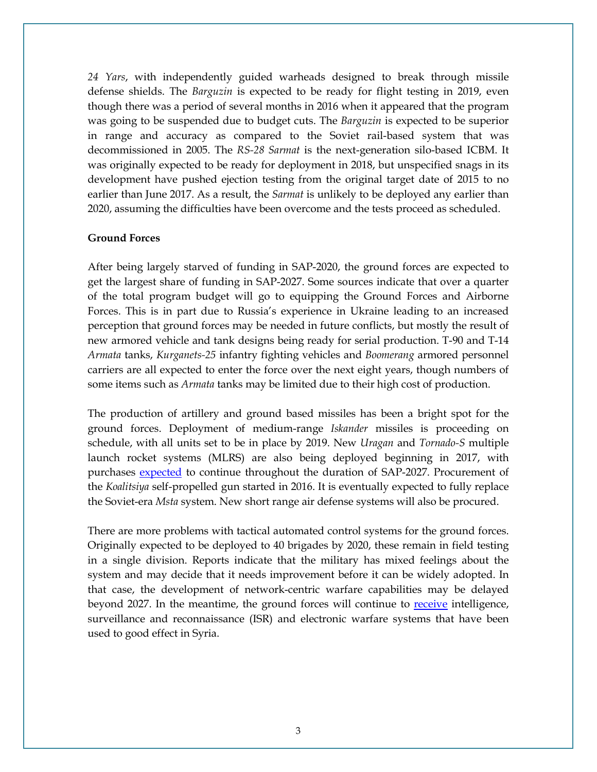*24 Yars*, with independently guided warheads designed to break through missile defense shields. The *Barguzin* is expected to be ready for flight testing in 2019, even though there was a period of several months in 2016 when it appeared that the program was going to be suspended due to budget cuts. The *Barguzin* is expected to be superior in range and accuracy as compared to the Soviet rail-based system that was decommissioned in 2005. The *RS-28 Sarmat* is the next-generation silo-based ICBM. It was originally expected to be ready for deployment in 2018, but unspecified snags in its development have pushed ejection testing from the original target date of 2015 to no earlier than June 2017. As a result, the *Sarmat* is unlikely to be deployed any earlier than 2020, assuming the difficulties have been overcome and the tests proceed as scheduled.

#### **Ground Forces**

After being largely starved of funding in SAP-2020, the ground forces are expected to get the largest share of funding in SAP-2027. Some sources indicate that over a quarter of the total program budget will go to equipping the Ground Forces and Airborne Forces. This is in part due to Russia's experience in Ukraine leading to an increased perception that ground forces may be needed in future conflicts, but mostly the result of new armored vehicle and tank designs being ready for serial production. T-90 and T-14 *Armata* tanks, *Kurganets-25* infantry fighting vehicles and *Boomerang* armored personnel carriers are all expected to enter the force over the next eight years, though numbers of some items such as *Armata* tanks may be limited due to their high cost of production.

The production of artillery and ground based missiles has been a bright spot for the ground forces. Deployment of medium-range *Iskander* missiles is proceeding on schedule, with all units set to be in place by 2019. New *Uragan* and *Tornado-S* multiple launch rocket systems (MLRS) are also being deployed beginning in 2017, with purchases [expected](http://tass.ru/armiya-i-opk/3653478) to continue throughout the duration of SAP-2027. Procurement of the *Koalitsiya* self-propelled gun started in 2016. It is eventually expected to fully replace the Soviet-era *Msta* system. New short range air defense systems will also be procured.

There are more problems with tactical automated control systems for the ground forces. Originally expected to be deployed to 40 brigades by 2020, these remain in field testing in a single division. Reports indicate that the military has mixed feelings about the system and may decide that it needs improvement before it can be widely adopted. In that case, the development of network-centric warfare capabilities may be delayed beyond 2027. In the meantime, the ground forces will continue to [receive](https://lenta.ru/articles/2017/05/25/gpv/) intelligence, surveillance and reconnaissance (ISR) and electronic warfare systems that have been used to good effect in Syria.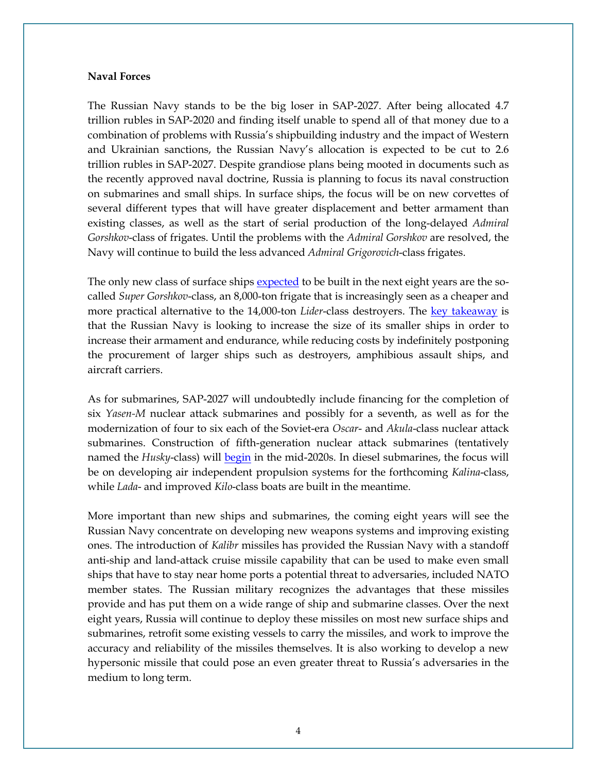#### **Naval Forces**

The Russian Navy stands to be the big loser in SAP-2027. After being allocated 4.7 trillion rubles in SAP-2020 and finding itself unable to spend all of that money due to a combination of problems with Russia's shipbuilding industry and the impact of Western and Ukrainian sanctions, the Russian Navy's allocation is expected to be cut to 2.6 trillion rubles in SAP-2027. Despite grandiose plans being mooted in documents such as the recently approved naval doctrine, Russia is planning to focus its naval construction on submarines and small ships. In surface ships, the focus will be on new corvettes of several different types that will have greater displacement and better armament than existing classes, as well as the start of serial production of the long-delayed *Admiral Gorshkov*-class of frigates. Until the problems with the *Admiral Gorshkov* are resolved, the Navy will continue to build the less advanced *Admiral Grigorovich*-class frigates.

The only new class of surface ships [expected](https://russianmilitaryanalysis.wordpress.com/2017/07/09/russian-shipbuilding-updates-from-russias-naval-salon-%D0%BC%D0%B2%D0%BC%D1%81-2017/) to be built in the next eight years are the socalled *Super Gorshkov*-class, an 8,000-ton frigate that is increasingly seen as a cheaper and more practical alternative to the 14,000-ton *Lider*-class destroyers. The [key takeaway](https://russiamil.wordpress.com/2017/07/11/what-we-learned-from-the-russian-naval-salon-%D0%BC%D0%B2%D0%BC%D1%81-2017/) is that the Russian Navy is looking to increase the size of its smaller ships in order to increase their armament and endurance, while reducing costs by indefinitely postponing the procurement of larger ships such as destroyers, amphibious assault ships, and aircraft carriers.

As for submarines, SAP-2027 will undoubtedly include financing for the completion of six *Yasen-M* nuclear attack submarines and possibly for a seventh, as well as for the modernization of four to six each of the Soviet-era *Oscar*- and *Akula*-class nuclear attack submarines. Construction of fifth-generation nuclear attack submarines (tentatively named the *Husky*-class) will <u>begin</u> in the mid-2020s. In diesel submarines, the focus will be on developing air independent propulsion systems for the forthcoming *Kalina*-class, while *Lada*- and improved *Kilo*-class boats are built in the meantime.

More important than new ships and submarines, the coming eight years will see the Russian Navy concentrate on developing new weapons systems and improving existing ones. The introduction of *Kalibr* missiles has provided the Russian Navy with a standoff anti-ship and land-attack cruise missile capability that can be used to make even small ships that have to stay near home ports a potential threat to adversaries, included NATO member states. The Russian military recognizes the advantages that these missiles provide and has put them on a wide range of ship and submarine classes. Over the next eight years, Russia will continue to deploy these missiles on most new surface ships and submarines, retrofit some existing vessels to carry the missiles, and work to improve the accuracy and reliability of the missiles themselves. It is also working to develop a new hypersonic missile that could pose an even greater threat to Russia's adversaries in the medium to long term.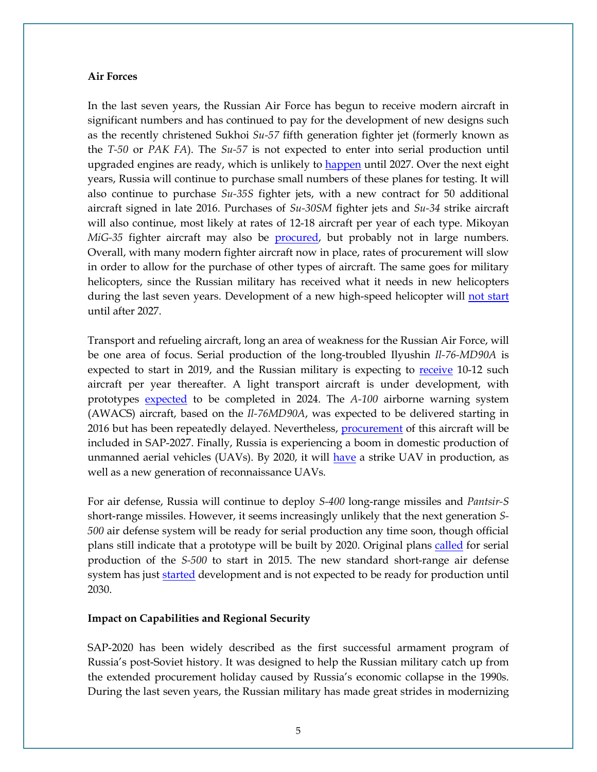#### **Air Forces**

In the last seven years, the Russian Air Force has begun to receive modern aircraft in significant numbers and has continued to pay for the development of new designs such as the recently christened Sukhoi *Su-57* fifth generation fighter jet (formerly known as the *T-50* or *PAK FA*). The *Su-57* is not expected to enter into serial production until upgraded engines are ready, which is unlikely to **happen until 2027**. Over the next eight years, Russia will continue to purchase small numbers of these planes for testing. It will also continue to purchase *Su-35S* fighter jets, with a new contract for 50 additional aircraft signed in late 2016. Purchases of *Su-30SM* fighter jets and *Su-34* strike aircraft will also continue, most likely at rates of 12-18 aircraft per year of each type. Mikoyan *MiG-35* fighter aircraft may also be [procured,](https://www.kommersant.ru/doc/3298425) but probably not in large numbers. Overall, with many modern fighter aircraft now in place, rates of procurement will slow in order to allow for the purchase of other types of aircraft. The same goes for military helicopters, since the Russian military has received what it needs in new helicopters during the last seven years. Development of a new high-speed helicopter will [not start](https://www.kommersant.ru/doc/3298425) until after 2027.

Transport and refueling aircraft, long an area of weakness for the Russian Air Force, will be one area of focus. Serial production of the long-troubled Ilyushin *Il-76-MD90A* is expected to start in 2019, and the Russian military is expecting to [receive](https://www.kommersant.ru/doc/3360057) 10-12 such aircraft per year thereafter. A light transport aircraft is under development, with prototypes [expected](http://nvo.ng.ru/realty/2017-05-26/2_949_red.html) to be completed in 2024. The *A-100* airborne warning system (AWACS) aircraft, based on the *Il-76MD90A*, was expected to be delivered starting in 2016 but has been repeatedly delayed. Nevertheless, [procurement](http://www.ng.ru/politics/2017-05-17/1_6989_putin.html) of this aircraft will be included in SAP-2027. Finally, Russia is experiencing a boom in domestic production of unmanned aerial vehicles (UAVs). By 2020, it will [have](http://vpk-news.ru/articles/36877) a strike UAV in production, as well as a new generation of reconnaissance UAVs.

For air defense, Russia will continue to deploy *S-400* long-range missiles and *Pantsir-S* short-range missiles. However, it seems increasingly unlikely that the next generation *S-500* air defense system will be ready for serial production any time soon, though official plans still indicate that a prototype will be built by 2020. Original plans [called](https://www.znak.com/2017-02-19/voennye_nazvali_datu_poyavleniya_raketnoy_sistemy_s_500) for serial production of the *S-500* to start in 2015. The new standard short-range air defense system has just [started](http://bmpd.livejournal.com/2507420.html) development and is not expected to be ready for production until 2030.

#### **Impact on Capabilities and Regional Security**

SAP-2020 has been widely described as the first successful armament program of Russia's post-Soviet history. It was designed to help the Russian military catch up from the extended procurement holiday caused by Russia's economic collapse in the 1990s. During the last seven years, the Russian military has made great strides in modernizing